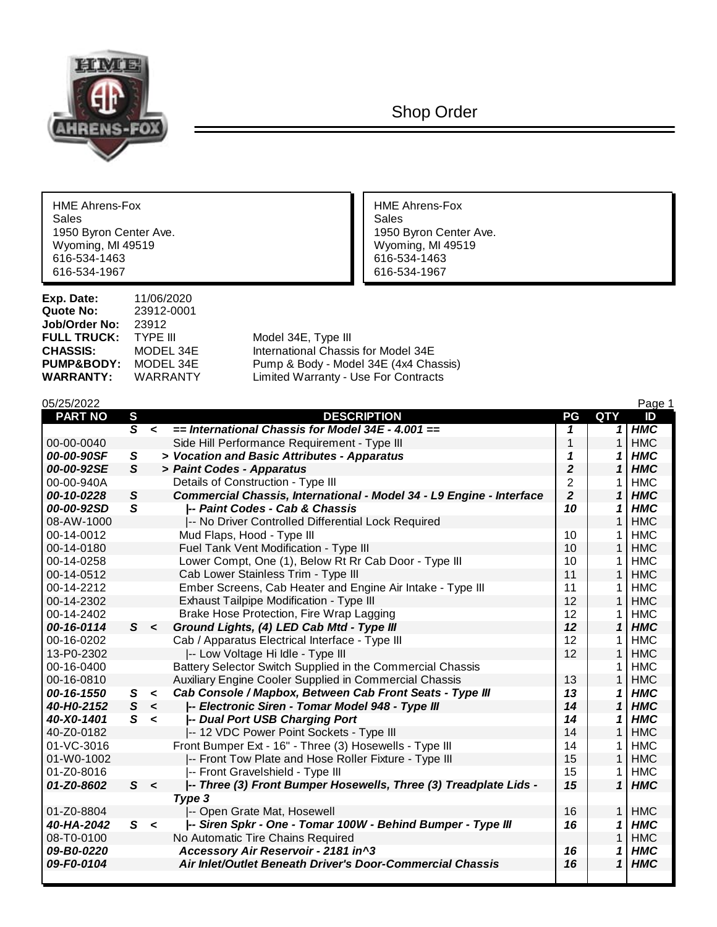

Shop Order

HME Ahrens-Fox<br>Sales Sales Sales and the same of the sales of the sales of the sales of the sales of the sales of the sales of the sales Wyoming, MI 49519<br>616-534-1463 616-534-1463 616-534-1463<br>616-534-1967 616-534-1967

**Exp. Date:** 11/06/2020<br>**Quote No:** 23912-0001 **Quote No:** 23912-0001 Jol<br>FU

1950 Byron Center Ave.<br>
Wyoming, MI 49519 Wyoming, MI 49519 616-534-1967 616-534-1967

| <b>Job/Order No:  23912</b> |                 |                                       |
|-----------------------------|-----------------|---------------------------------------|
| <b>FULL TRUCK:</b>          | TYPE III        | Model 34E, Type III                   |
| <b>CHASSIS:</b>             | MODEL 34E       | International Chassis for Model 34E   |
| <b>PUMP&amp;BODY:</b>       | MODEL 34E       | Pump & Body - Model 34E (4x4 Chassis) |
| <b>WARRANTY:</b>            | <b>WARRANTY</b> | Limited Warranty - Use For Contracts  |
|                             |                 |                                       |

| 05/25/2022     |                |         |                                                                      |                |              | Page 1     |
|----------------|----------------|---------|----------------------------------------------------------------------|----------------|--------------|------------|
| <b>PART NO</b> | $\mathbf{s}$   |         | <b>DESCRIPTION</b>                                                   | PG             | QTY          | ID         |
|                | $\overline{s}$ | $\prec$ | $=$ International Chassis for Model 34E - 4.001 $=$                  | 1              | 1            | <b>HMC</b> |
| 00-00-0040     |                |         | Side Hill Performance Requirement - Type III                         | 1              |              | <b>HMC</b> |
| 00-00-90SF     | S              |         | > Vocation and Basic Attributes - Apparatus                          | 1              | 1            | <b>HMC</b> |
| 00-00-92SE     | S              |         | > Paint Codes - Apparatus                                            | $\overline{2}$ |              | <b>HMC</b> |
| 00-00-940A     |                |         | Details of Construction - Type III                                   | $\overline{2}$ |              | <b>HMC</b> |
| 00-10-0228     | S              |         | Commercial Chassis, International - Model 34 - L9 Engine - Interface | $\overline{2}$ |              | <b>HMC</b> |
| 00-00-92SD     | $\mathsf{s}$   |         | -- Paint Codes - Cab & Chassis                                       | 10             |              | <b>HMC</b> |
| 08-AW-1000     |                |         | -- No Driver Controlled Differential Lock Required                   |                |              | <b>HMC</b> |
| 00-14-0012     |                |         | Mud Flaps, Hood - Type III                                           | 10             |              | <b>HMC</b> |
| 00-14-0180     |                |         | Fuel Tank Vent Modification - Type III                               | 10             |              | <b>HMC</b> |
| 00-14-0258     |                |         | Lower Compt, One (1), Below Rt Rr Cab Door - Type III                | 10             |              | <b>HMC</b> |
| 00-14-0512     |                |         | Cab Lower Stainless Trim - Type III                                  | 11             | $\mathbf{1}$ | <b>HMC</b> |
| 00-14-2212     |                |         | Ember Screens, Cab Heater and Engine Air Intake - Type III           | 11             |              | <b>HMC</b> |
| 00-14-2302     |                |         | Exhaust Tailpipe Modification - Type III                             | 12             | $\mathbf{1}$ | <b>HMC</b> |
| 00-14-2402     |                |         | Brake Hose Protection, Fire Wrap Lagging                             | 12             |              | <b>HMC</b> |
| 00-16-0114     | S              | $\prec$ | Ground Lights, (4) LED Cab Mtd - Type III                            | 12             | 1            | <b>HMC</b> |
| 00-16-0202     |                |         | Cab / Apparatus Electrical Interface - Type III                      | 12             |              | <b>HMC</b> |
| 13-P0-2302     |                |         | -- Low Voltage Hi Idle - Type III                                    | 12             |              | <b>HMC</b> |
| 00-16-0400     |                |         | Battery Selector Switch Supplied in the Commercial Chassis           |                |              | <b>HMC</b> |
| 00-16-0810     |                |         | Auxiliary Engine Cooler Supplied in Commercial Chassis               | 13             |              | <b>HMC</b> |
| 00-16-1550     | S              | $\,<$   | Cab Console / Mapbox, Between Cab Front Seats - Type III             | 13             |              | <b>HMC</b> |
| 40-H0-2152     | S              | $\prec$ | -- Electronic Siren - Tomar Model 948 - Type III                     | 14             | 1            | <b>HMC</b> |
| 40-X0-1401     | S              | $\prec$ | -- Dual Port USB Charging Port                                       | 14             |              | <b>HMC</b> |
| 40-Z0-0182     |                |         | -- 12 VDC Power Point Sockets - Type III                             | 14             |              | <b>HMC</b> |
| 01-VC-3016     |                |         | Front Bumper Ext - 16" - Three (3) Hosewells - Type III              | 14             |              | <b>HMC</b> |
| 01-W0-1002     |                |         | -- Front Tow Plate and Hose Roller Fixture - Type III                | 15             | 1            | <b>HMC</b> |
| 01-Z0-8016     |                |         | -- Front Gravelshield - Type III                                     | 15             |              | <b>HMC</b> |
| 01-Z0-8602     |                | S <     | -- Three (3) Front Bumper Hosewells, Three (3) Treadplate Lids -     | 15             | 1            | <b>HMC</b> |
|                |                |         | Type 3                                                               |                |              |            |
| 01-Z0-8804     |                |         | -- Open Grate Mat, Hosewell                                          | 16             | 1            | <b>HMC</b> |
| 40-HA-2042     |                | S <     | -- Siren Spkr - One - Tomar 100W - Behind Bumper - Type III          | 16             | 1            | <b>HMC</b> |
| 08-T0-0100     |                |         | No Automatic Tire Chains Required                                    |                |              | <b>HMC</b> |
| 09-B0-0220     |                |         | Accessory Air Reservoir - 2181 in^3                                  | 16             |              | <b>HMC</b> |
| 09-F0-0104     |                |         | Air Inlet/Outlet Beneath Driver's Door-Commercial Chassis            | 16             | 1            | <b>HMC</b> |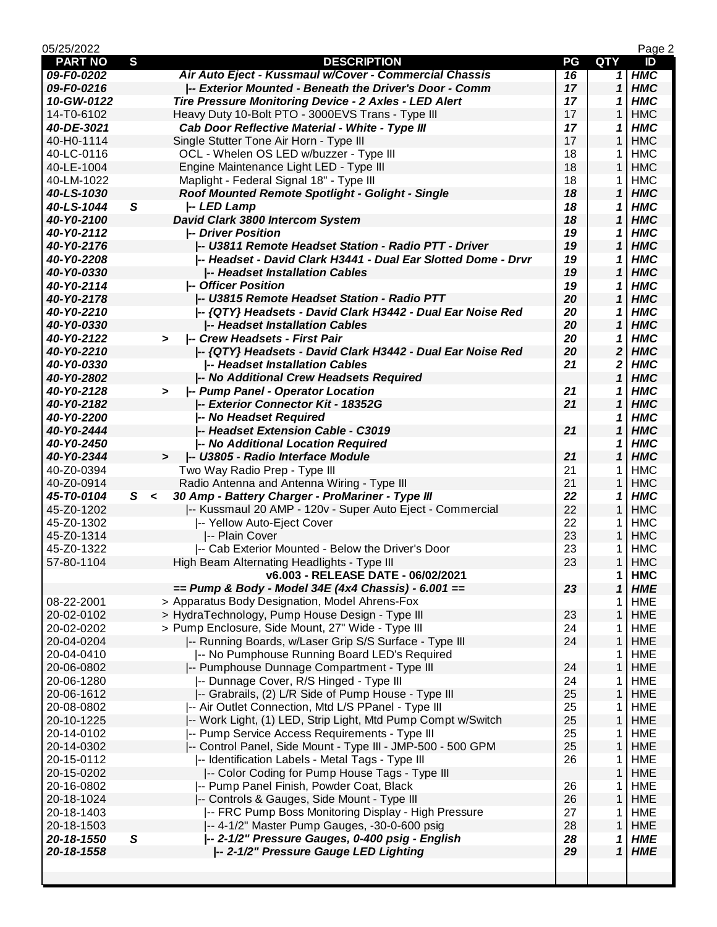| 05/25/2022<br>Page 2 |     |                                                               |    |                  |            |  |
|----------------------|-----|---------------------------------------------------------------|----|------------------|------------|--|
| <b>PART NO</b>       | S   | <b>DESCRIPTION</b>                                            | PG | <b>QTY</b>       | ID         |  |
| 09-F0-0202           |     | Air Auto Eject - Kussmaul w/Cover - Commercial Chassis        | 16 | 1                | <b>HMC</b> |  |
| 09-F0-0216           |     | -- Exterior Mounted - Beneath the Driver's Door - Comm        | 17 | 1                | <b>HMC</b> |  |
| 10-GW-0122           |     | Tire Pressure Monitoring Device - 2 Axles - LED Alert         | 17 | 1                | <b>HMC</b> |  |
| 14-T0-6102           |     | Heavy Duty 10-Bolt PTO - 3000EVS Trans - Type III             | 17 | 1                | <b>HMC</b> |  |
| 40-DE-3021           |     | Cab Door Reflective Material - White - Type III               | 17 | 1                | <b>HMC</b> |  |
| 40-H0-1114           |     | Single Stutter Tone Air Horn - Type III                       | 17 | 1                | <b>HMC</b> |  |
| 40-LC-0116           |     | OCL - Whelen OS LED w/buzzer - Type III                       | 18 | 1.               | <b>HMC</b> |  |
| 40-LE-1004           |     | Engine Maintenance Light LED - Type III                       | 18 | $\mathbf{1}$     | <b>HMC</b> |  |
| 40-LM-1022           |     | Maplight - Federal Signal 18" - Type III                      | 18 | 1.               | <b>HMC</b> |  |
| 40-LS-1030           |     | Roof Mounted Remote Spotlight - Golight - Single              | 18 | 1                | <b>HMC</b> |  |
| 40-LS-1044           | S   | -- LED Lamp                                                   | 18 | 1                | <b>HMC</b> |  |
| 40-Y0-2100           |     | David Clark 3800 Intercom System                              | 18 | 1                | <b>HMC</b> |  |
| 40-Y0-2112           |     | -- Driver Position                                            | 19 | 1                | <b>HMC</b> |  |
| 40-Y0-2176           |     | -- U3811 Remote Headset Station - Radio PTT - Driver          | 19 | 1                | <b>HMC</b> |  |
| 40-Y0-2208           |     | -- Headset - David Clark H3441 - Dual Ear Slotted Dome - Drvr | 19 | 1                | <b>HMC</b> |  |
| 40-Y0-0330           |     | -- Headset Installation Cables                                | 19 | 1                | <b>HMC</b> |  |
| 40-Y0-2114           |     | <b>-- Officer Position</b>                                    | 19 | 1                | <b>HMC</b> |  |
| 40-Y0-2178           |     | -- U3815 Remote Headset Station - Radio PTT                   | 20 | $\mathbf{1}$     | <b>HMC</b> |  |
| 40-Y0-2210           |     | -- {QTY} Headsets - David Clark H3442 - Dual Ear Noise Red    | 20 | 1                | <b>HMC</b> |  |
| 40-Y0-0330           |     | -- Headset Installation Cables                                | 20 | 1                | <b>HMC</b> |  |
| 40-Y0-2122           |     | -- Crew Headsets - First Pair<br>$\geq$                       | 20 | 1                | <b>HMC</b> |  |
| 40-Y0-2210           |     | --{QTY} Headsets - David Clark H3442 - Dual Ear Noise Red     | 20 | $\boldsymbol{2}$ | <b>HMC</b> |  |
| 40-Y0-0330           |     | -- Headset Installation Cables                                | 21 | 2                | <b>HMC</b> |  |
| 40-Y0-2802           |     | -- No Additional Crew Headsets Required                       |    | 1                | <b>HMC</b> |  |
| 40-Y0-2128           |     | -- Pump Panel - Operator Location                             | 21 | 1                | <b>HMC</b> |  |
| 40-Y0-2182           |     | -- Exterior Connector Kit - 18352G                            | 21 | 1                | <b>HMC</b> |  |
| 40-Y0-2200           |     | -- No Headset Required                                        |    | 1                | <b>HMC</b> |  |
| 40-Y0-2444           |     | -- Headset Extension Cable - C3019                            | 21 | 1                | <b>HMC</b> |  |
| 40-Y0-2450           |     | -- No Additional Location Required                            |    | 1                | <b>HMC</b> |  |
| 40-Y0-2344           |     | -- U3805 - Radio Interface Module<br>$\geq$                   | 21 | 1                | <b>HMC</b> |  |
| 40-Z0-0394           |     | Two Way Radio Prep - Type III                                 | 21 | 1                | <b>HMC</b> |  |
| 40-Z0-0914           |     | Radio Antenna and Antenna Wiring - Type III                   | 21 | 1                | <b>HMC</b> |  |
| 45-T0-0104           | S < | 30 Amp - Battery Charger - ProMariner - Type III              | 22 | 1                | <b>HMC</b> |  |
| 45-Z0-1202           |     | -- Kussmaul 20 AMP - 120v - Super Auto Eject - Commercial     | 22 |                  |            |  |
|                      |     |                                                               |    | $\mathbf{1}$     | <b>HMC</b> |  |
| 45-Z0-1302           |     | -- Yellow Auto-Eject Cover                                    | 22 | 1                | <b>HMC</b> |  |
| 45-Z0-1314           |     | -- Plain Cover                                                | 23 | 1                | <b>HMC</b> |  |
| 45-Z0-1322           |     | -- Cab Exterior Mounted - Below the Driver's Door             | 23 | 1                | <b>HMC</b> |  |
| 57-80-1104           |     | High Beam Alternating Headlights - Type III                   | 23 | $\mathbf{1}$     | <b>HMC</b> |  |
|                      |     | v6.003 - RELEASE DATE - 06/02/2021                            |    | 1                | <b>HMC</b> |  |
|                      |     | == Pump & Body - Model 34E (4x4 Chassis) - 6.001 ==           | 23 | 1                | <b>HME</b> |  |
| 08-22-2001           |     | > Apparatus Body Designation, Model Ahrens-Fox                |    | 1                | <b>HME</b> |  |
| 20-02-0102           |     | > HydraTechnology, Pump House Design - Type III               | 23 | 1                | <b>HME</b> |  |
| 20-02-0202           |     | > Pump Enclosure, Side Mount, 27" Wide - Type III             | 24 | 1                | <b>HME</b> |  |
| 20-04-0204           |     | -- Running Boards, w/Laser Grip S/S Surface - Type III        | 24 | 1                | <b>HME</b> |  |
| 20-04-0410           |     | -- No Pumphouse Running Board LED's Required                  |    | 1                | <b>HME</b> |  |
| 20-06-0802           |     | -- Pumphouse Dunnage Compartment - Type III                   | 24 | 1                | <b>HME</b> |  |
| 20-06-1280           |     | -- Dunnage Cover, R/S Hinged - Type III                       | 24 | 1.               | <b>HME</b> |  |
| 20-06-1612           |     | -- Grabrails, (2) L/R Side of Pump House - Type III           | 25 | $\mathbf{1}$     | <b>HME</b> |  |
| 20-08-0802           |     | -- Air Outlet Connection, Mtd L/S PPanel - Type III           | 25 | 1                | <b>HME</b> |  |
| 20-10-1225           |     | -- Work Light, (1) LED, Strip Light, Mtd Pump Compt w/Switch  | 25 | $\mathbf{1}$     | <b>HME</b> |  |
| 20-14-0102           |     | -- Pump Service Access Requirements - Type III                | 25 | 1                | <b>HME</b> |  |
| 20-14-0302           |     | -- Control Panel, Side Mount - Type III - JMP-500 - 500 GPM   | 25 | 1                | <b>HME</b> |  |
| 20-15-0112           |     | -- Identification Labels - Metal Tags - Type III              | 26 | 1                | <b>HME</b> |  |
| 20-15-0202           |     | -- Color Coding for Pump House Tags - Type III                |    | $\mathbf{1}$     | <b>HME</b> |  |
| 20-16-0802           |     | -- Pump Panel Finish, Powder Coat, Black                      | 26 | 1.               | <b>HME</b> |  |
| 20-18-1024           |     | -- Controls & Gauges, Side Mount - Type III                   | 26 | 1                | <b>HME</b> |  |
| 20-18-1403           |     | -- FRC Pump Boss Monitoring Display - High Pressure           | 27 | 1                | <b>HME</b> |  |
| 20-18-1503           |     | -- 4-1/2" Master Pump Gauges, -30-0-600 psig                  | 28 | $\mathbf{1}$     | <b>HME</b> |  |
| 20-18-1550           | S   | -- 2-1/2" Pressure Gauges, 0-400 psig - English               | 28 | 1                | <b>HME</b> |  |
| 20-18-1558           |     | -- 2-1/2" Pressure Gauge LED Lighting                         | 29 | 1                | <b>HME</b> |  |
|                      |     |                                                               |    |                  |            |  |
|                      |     |                                                               |    |                  |            |  |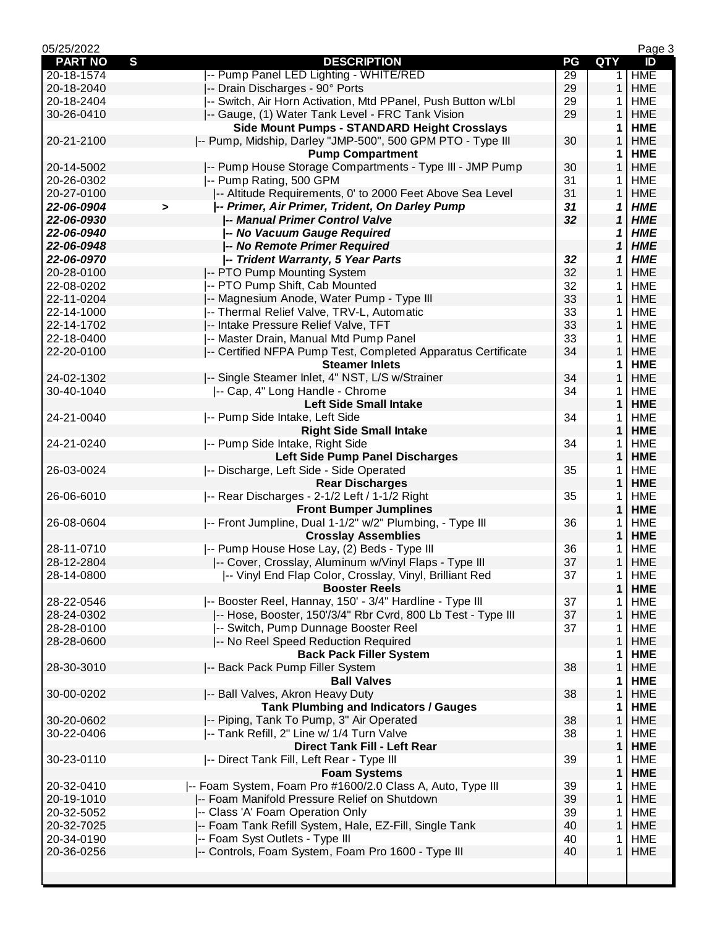| 05/25/2022     |                                                                         |    |              | Page 3     |
|----------------|-------------------------------------------------------------------------|----|--------------|------------|
| <b>PART NO</b> | $\mathbf{s}$<br><b>DESCRIPTION</b>                                      | PG | <b>QTY</b>   | ID         |
| 20-18-1574     | -- Pump Panel LED Lighting - WHITE/RED                                  | 29 | 1            | <b>HME</b> |
| 20-18-2040     | -- Drain Discharges - 90° Ports                                         | 29 | $\mathbf{1}$ | <b>HME</b> |
| 20-18-2404     | -- Switch, Air Horn Activation, Mtd PPanel, Push Button w/Lbl           | 29 | 1            | <b>HME</b> |
| 30-26-0410     | -- Gauge, (1) Water Tank Level - FRC Tank Vision                        | 29 | 1            | <b>HME</b> |
|                | Side Mount Pumps - STANDARD Height Crosslays                            |    | 1            | <b>HME</b> |
| 20-21-2100     | -- Pump, Midship, Darley "JMP-500", 500 GPM PTO - Type III              | 30 | 1            | <b>HME</b> |
|                | <b>Pump Compartment</b>                                                 |    | 1            | <b>HME</b> |
| 20-14-5002     | -- Pump House Storage Compartments - Type III - JMP Pump                | 30 | $\mathbf{1}$ | <b>HME</b> |
| 20-26-0302     | -- Pump Rating, 500 GPM                                                 | 31 | 1            | <b>HME</b> |
| 20-27-0100     | -- Altitude Requirements, 0' to 2000 Feet Above Sea Level               | 31 | $\mathbf{1}$ | <b>HME</b> |
| 22-06-0904     | -- Primer, Air Primer, Trident, On Darley Pump<br>$\blacktriangleright$ | 31 | 1            | <b>HME</b> |
| 22-06-0930     | -- Manual Primer Control Valve                                          | 32 | 1            | <b>HME</b> |
| 22-06-0940     | -- No Vacuum Gauge Required                                             |    | 1            | <b>HME</b> |
| 22-06-0948     | -- No Remote Primer Required                                            |    | 1            | <b>HME</b> |
| 22-06-0970     | -- Trident Warranty, 5 Year Parts                                       | 32 | 1            | <b>HME</b> |
| 20-28-0100     | -- PTO Pump Mounting System                                             | 32 | $\mathbf{1}$ | <b>HME</b> |
| 22-08-0202     | -- PTO Pump Shift, Cab Mounted                                          | 32 | 1            | <b>HME</b> |
| 22-11-0204     | -- Magnesium Anode, Water Pump - Type III                               | 33 | $\mathbf{1}$ | <b>HME</b> |
| 22-14-1000     | -- Thermal Relief Valve, TRV-L, Automatic                               | 33 | 1            | <b>HME</b> |
| 22-14-1702     | -- Intake Pressure Relief Valve, TFT                                    | 33 | 1            | <b>HME</b> |
| 22-18-0400     | -- Master Drain, Manual Mtd Pump Panel                                  | 33 | 1            | <b>HME</b> |
| 22-20-0100     | -- Certified NFPA Pump Test, Completed Apparatus Certificate            | 34 | $\mathbf{1}$ | <b>HME</b> |
|                | <b>Steamer Inlets</b>                                                   |    | 1            | <b>HME</b> |
| 24-02-1302     | -- Single Steamer Inlet, 4" NST, L/S w/Strainer                         | 34 | $\mathbf{1}$ | <b>HME</b> |
| 30-40-1040     | -- Cap, 4" Long Handle - Chrome                                         | 34 | 1.           | <b>HME</b> |
|                | <b>Left Side Small Intake</b>                                           |    | $\mathbf{1}$ | <b>HME</b> |
| 24-21-0040     | -- Pump Side Intake, Left Side                                          | 34 | 1            | <b>HME</b> |
|                | <b>Right Side Small Intake</b>                                          |    | 1            | <b>HME</b> |
| 24-21-0240     | -- Pump Side Intake, Right Side                                         | 34 | 1            | <b>HME</b> |
|                | Left Side Pump Panel Discharges                                         |    | 1            | <b>HME</b> |
| 26-03-0024     | -- Discharge, Left Side - Side Operated                                 | 35 | 1.           | <b>HME</b> |
|                | <b>Rear Discharges</b>                                                  |    | 1            | <b>HME</b> |
| 26-06-6010     | -- Rear Discharges - 2-1/2 Left / 1-1/2 Right                           | 35 | 1            | <b>HME</b> |
|                | <b>Front Bumper Jumplines</b>                                           |    | $\mathbf 1$  | <b>HME</b> |
| 26-08-0604     | -- Front Jumpline, Dual 1-1/2" w/2" Plumbing, - Type III                | 36 | 1            | <b>HME</b> |
|                | <b>Crosslay Assemblies</b>                                              |    | 1            | <b>HME</b> |
| 28-11-0710     | -- Pump House Hose Lay, (2) Beds - Type III                             | 36 | 1            | <b>HME</b> |
| 28-12-2804     | -- Cover, Crosslay, Aluminum w/Vinyl Flaps - Type III                   | 37 | 1            | <b>HME</b> |
| 28-14-0800     | -- Vinyl End Flap Color, Crosslay, Vinyl, Brilliant Red                 | 37 | 1            | <b>HME</b> |
|                | <b>Booster Reels</b>                                                    |    | $\mathbf{1}$ | <b>HME</b> |
| 28-22-0546     | -- Booster Reel, Hannay, 150' - 3/4" Hardline - Type III                | 37 | 1            | HME        |
| 28-24-0302     | -- Hose, Booster, 150'/3/4" Rbr Cvrd, 800 Lb Test - Type III            | 37 | 1            | <b>HME</b> |
| 28-28-0100     | -- Switch, Pump Dunnage Booster Reel                                    | 37 | 1            | <b>HME</b> |
| 28-28-0600     | -- No Reel Speed Reduction Required                                     |    | 1            | <b>HME</b> |
|                | <b>Back Pack Filler System</b>                                          |    | 1            | <b>HME</b> |
| 28-30-3010     | -- Back Pack Pump Filler System                                         | 38 | 1            | <b>HME</b> |
|                | <b>Ball Valves</b>                                                      |    | 1            | <b>HME</b> |
| 30-00-0202     | -- Ball Valves, Akron Heavy Duty                                        | 38 | 1            | <b>HME</b> |
|                | <b>Tank Plumbing and Indicators / Gauges</b>                            |    | 1            | <b>HME</b> |
| 30-20-0602     | -- Piping, Tank To Pump, 3" Air Operated                                | 38 | 1            | <b>HME</b> |
| 30-22-0406     | -- Tank Refill, 2" Line w/ 1/4 Turn Valve                               | 38 | 1            | <b>HME</b> |
|                | <b>Direct Tank Fill - Left Rear</b>                                     |    | 1            | <b>HME</b> |
| 30-23-0110     | -- Direct Tank Fill, Left Rear - Type III                               | 39 | 1            | <b>HME</b> |
|                | <b>Foam Systems</b>                                                     |    | 1            | <b>HME</b> |
| 20-32-0410     | -- Foam System, Foam Pro #1600/2.0 Class A, Auto, Type III              | 39 | 1            | <b>HME</b> |
| 20-19-1010     | -- Foam Manifold Pressure Relief on Shutdown                            | 39 | 1            | HME        |
| 20-32-5052     | -- Class 'A' Foam Operation Only                                        | 39 | 1            | <b>HME</b> |
| 20-32-7025     | -- Foam Tank Refill System, Hale, EZ-Fill, Single Tank                  | 40 | $\mathbf{1}$ | <b>HME</b> |
| 20-34-0190     | -- Foam Syst Outlets - Type III                                         | 40 | 1            | <b>HME</b> |
| 20-36-0256     | -- Controls, Foam System, Foam Pro 1600 - Type III                      | 40 | 1            | <b>HME</b> |
|                |                                                                         |    |              |            |
|                |                                                                         |    |              |            |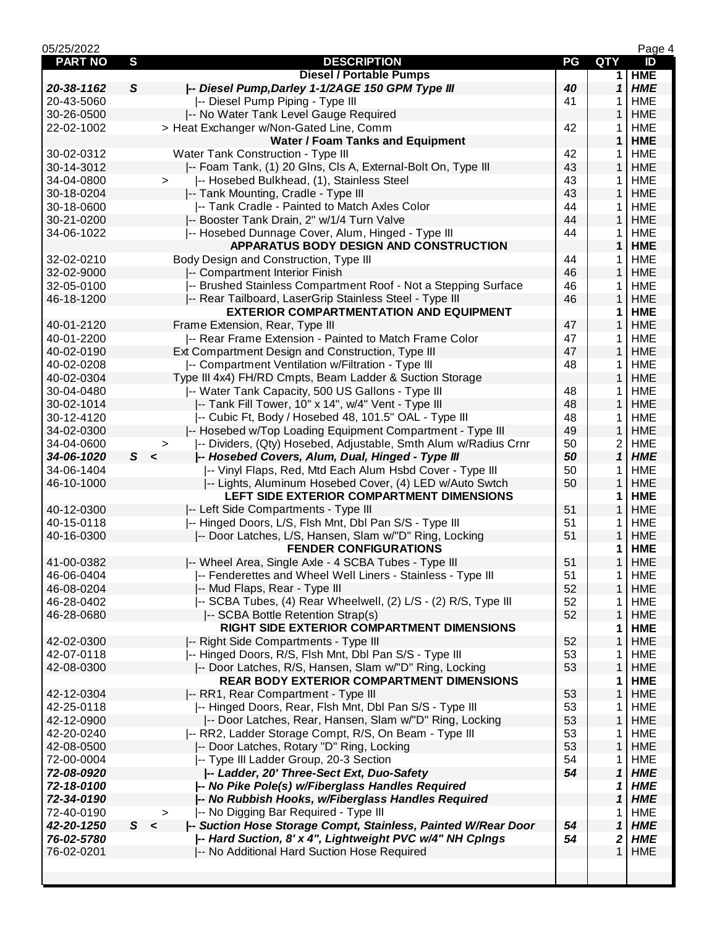| 05/25/2022               |                                                                                              |          |                   | Page 4     |
|--------------------------|----------------------------------------------------------------------------------------------|----------|-------------------|------------|
| <b>PART NO</b>           | $\mathbf{s}$<br><b>DESCRIPTION</b>                                                           | PG       | QTY               | ID         |
|                          | <b>Diesel / Portable Pumps</b>                                                               |          | 1                 | <b>HME</b> |
| 20-38-1162               | -- Diesel Pump, Darley 1-1/2AGE 150 GPM Type III<br>S                                        | 40       | 1                 | <b>HME</b> |
| 20-43-5060               | -- Diesel Pump Piping - Type III                                                             | 41       | 1                 | <b>HME</b> |
| 30-26-0500               | -- No Water Tank Level Gauge Required                                                        |          | $\mathbf{1}$      | <b>HME</b> |
| 22-02-1002               | > Heat Exchanger w/Non-Gated Line, Comm                                                      | 42       | 1                 | <b>HME</b> |
|                          | <b>Water / Foam Tanks and Equipment</b>                                                      |          | 1                 | <b>HME</b> |
| 30-02-0312               | Water Tank Construction - Type III                                                           | 42       | 1                 | <b>HME</b> |
| 30-14-3012               | -- Foam Tank, (1) 20 Glns, Cls A, External-Bolt On, Type III                                 | 43       | 1                 | <b>HME</b> |
| 34-04-0800               | -- Hosebed Bulkhead, (1), Stainless Steel<br>$\geq$                                          | 43       | 1                 | <b>HME</b> |
| 30-18-0204               | -- Tank Mounting, Cradle - Type III                                                          | 43       | $\mathbf{1}$      | <b>HME</b> |
| 30-18-0600               | -- Tank Cradle - Painted to Match Axles Color                                                | 44       | 1                 | <b>HME</b> |
| 30-21-0200               | -- Booster Tank Drain, 2" w/1/4 Turn Valve                                                   | 44       | $\mathbf{1}$      | <b>HME</b> |
| 34-06-1022               | -- Hosebed Dunnage Cover, Alum, Hinged - Type III                                            | 44       | 1.                | <b>HME</b> |
|                          | APPARATUS BODY DESIGN AND CONSTRUCTION                                                       |          | 1                 | <b>HME</b> |
| 32-02-0210               | Body Design and Construction, Type III                                                       | 44       | 1                 | <b>HME</b> |
| 32-02-9000               | -- Compartment Interior Finish                                                               | 46       | 1                 | <b>HME</b> |
| 32-05-0100               | -- Brushed Stainless Compartment Roof - Not a Stepping Surface                               | 46       | 1                 | <b>HME</b> |
| 46-18-1200               | -- Rear Tailboard, LaserGrip Stainless Steel - Type III                                      | 46       | 1                 | <b>HME</b> |
|                          | <b>EXTERIOR COMPARTMENTATION AND EQUIPMENT</b>                                               |          | 1                 | <b>HME</b> |
| 40-01-2120               | Frame Extension, Rear, Type III                                                              | 47       | $\mathbf{1}$      | <b>HME</b> |
| 40-01-2200               | -- Rear Frame Extension - Painted to Match Frame Color                                       | 47       | 1                 | <b>HME</b> |
| 40-02-0190               | Ext Compartment Design and Construction, Type III                                            | 47       | $\mathbf{1}$      | <b>HME</b> |
| 40-02-0208               | -- Compartment Ventilation w/Filtration - Type III                                           | 48       | 1                 | <b>HME</b> |
| 40-02-0304               | Type III 4x4) FH/RD Cmpts, Beam Ladder & Suction Storage                                     |          | $\mathbf{1}$      | <b>HME</b> |
| 30-04-0480               | -- Water Tank Capacity, 500 US Gallons - Type III                                            | 48       | 1                 | <b>HME</b> |
| 30-02-1014               | -- Tank Fill Tower, 10" x 14", w/4" Vent - Type III                                          |          | 1                 | <b>HME</b> |
|                          | -- Cubic Ft, Body / Hosebed 48, 101.5" OAL - Type III                                        | 48       |                   | <b>HME</b> |
| 30-12-4120<br>34-02-0300 |                                                                                              | 48<br>49 | 1<br>$\mathbf{1}$ | <b>HME</b> |
|                          | -- Hosebed w/Top Loading Equipment Compartment - Type III                                    |          |                   |            |
| 34-04-0600               | -- Dividers, (Qty) Hosebed, Adjustable, Smth Alum w/Radius Crnr<br>$\, > \,$<br>$\mathsf{s}$ | 50       | $\overline{c}$    | <b>HME</b> |
| 34-06-1020               | /-- Hosebed Covers, Alum, Dual, Hinged - Type III<br>$\prec$                                 | 50       | $\mathbf{1}$      | <b>HME</b> |
| 34-06-1404               | -- Vinyl Flaps, Red, Mtd Each Alum Hsbd Cover - Type III                                     | 50       | 1                 | <b>HME</b> |
| 46-10-1000               | -- Lights, Aluminum Hosebed Cover, (4) LED w/Auto Swtch                                      | 50       | 1                 | <b>HME</b> |
|                          | LEFT SIDE EXTERIOR COMPARTMENT DIMENSIONS                                                    |          | 1                 | <b>HME</b> |
| 40-12-0300               | -- Left Side Compartments - Type III                                                         | 51       | 1                 | <b>HME</b> |
| 40-15-0118               | -- Hinged Doors, L/S, Flsh Mnt, Dbl Pan S/S - Type III                                       | 51       | 1                 | <b>HME</b> |
| 40-16-0300               | -- Door Latches, L/S, Hansen, Slam w/"D" Ring, Locking                                       | 51       | $\mathbf{1}$      | <b>HME</b> |
|                          | <b>FENDER CONFIGURATIONS</b>                                                                 |          | 1                 | <b>HME</b> |
| 41-00-0382               | -- Wheel Area, Single Axle - 4 SCBA Tubes - Type III                                         | 51       | 1                 | <b>HME</b> |
| 46-06-0404               | -- Fenderettes and Wheel Well Liners - Stainless - Type III                                  | 51       | 1.                | HME        |
| 46-08-0204               | -- Mud Flaps, Rear - Type III                                                                | 52       | 1                 | <b>HME</b> |
| 46-28-0402               | -- SCBA Tubes, (4) Rear Wheelwell, (2) L/S - (2) R/S, Type III                               | 52       | 1                 | <b>HME</b> |
| 46-28-0680               | -- SCBA Bottle Retention Strap(s)                                                            | 52       | 1                 | <b>HME</b> |
|                          | RIGHT SIDE EXTERIOR COMPARTMENT DIMENSIONS                                                   |          | 1                 | <b>HME</b> |
| 42-02-0300               | -- Right Side Compartments - Type III                                                        | 52       | 1                 | <b>HME</b> |
| 42-07-0118               | -- Hinged Doors, R/S, Flsh Mnt, Dbl Pan S/S - Type III                                       | 53       | 1                 | <b>HME</b> |
| 42-08-0300               | -- Door Latches, R/S, Hansen, Slam w/"D" Ring, Locking                                       | 53       | 1                 | <b>HME</b> |
|                          | <b>REAR BODY EXTERIOR COMPARTMENT DIMENSIONS</b>                                             |          | 1                 | <b>HME</b> |
| 42-12-0304               | -- RR1, Rear Compartment - Type III                                                          | 53       | 1                 | <b>HME</b> |
| 42-25-0118               | -- Hinged Doors, Rear, Flsh Mnt, Dbl Pan S/S - Type III                                      | 53       | 1                 | <b>HME</b> |
| 42-12-0900               | -- Door Latches, Rear, Hansen, Slam w/"D" Ring, Locking                                      | 53       | 1                 | <b>HME</b> |
| 42-20-0240               | -- RR2, Ladder Storage Compt, R/S, On Beam - Type III                                        | 53       | 1                 | <b>HME</b> |
| 42-08-0500               | -- Door Latches, Rotary "D" Ring, Locking                                                    | 53       | $\mathbf{1}$      | <b>HME</b> |
| 72-00-0004               | -- Type III Ladder Group, 20-3 Section                                                       | 54       | 1                 | <b>HME</b> |
| 72-08-0920               | -- Ladder, 20' Three-Sect Ext, Duo-Safety                                                    | 54       | $\mathbf 1$       | <b>HME</b> |
| 72-18-0100               | -- No Pike Pole(s) w/Fiberglass Handles Required                                             |          | 1                 | <b>HME</b> |
| 72-34-0190               | -- No Rubbish Hooks, w/Fiberglass Handles Required                                           |          | 1                 | <b>HME</b> |
| 72-40-0190               | -- No Digging Bar Required - Type III<br>$\geq$                                              |          | 1                 | <b>HME</b> |
| 42-20-1250               | S<br>-- Suction Hose Storage Compt, Stainless, Painted W/Rear Door<br>$\prec$                | 54       | 1                 | <b>HME</b> |
| 76-02-5780               | -- Hard Suction, 8' x 4", Lightweight PVC w/4" NH Cplngs                                     | 54       | 2                 | <b>HME</b> |
| 76-02-0201               | -- No Additional Hard Suction Hose Required                                                  |          | 1                 | HME        |
|                          |                                                                                              |          |                   |            |
|                          |                                                                                              |          |                   |            |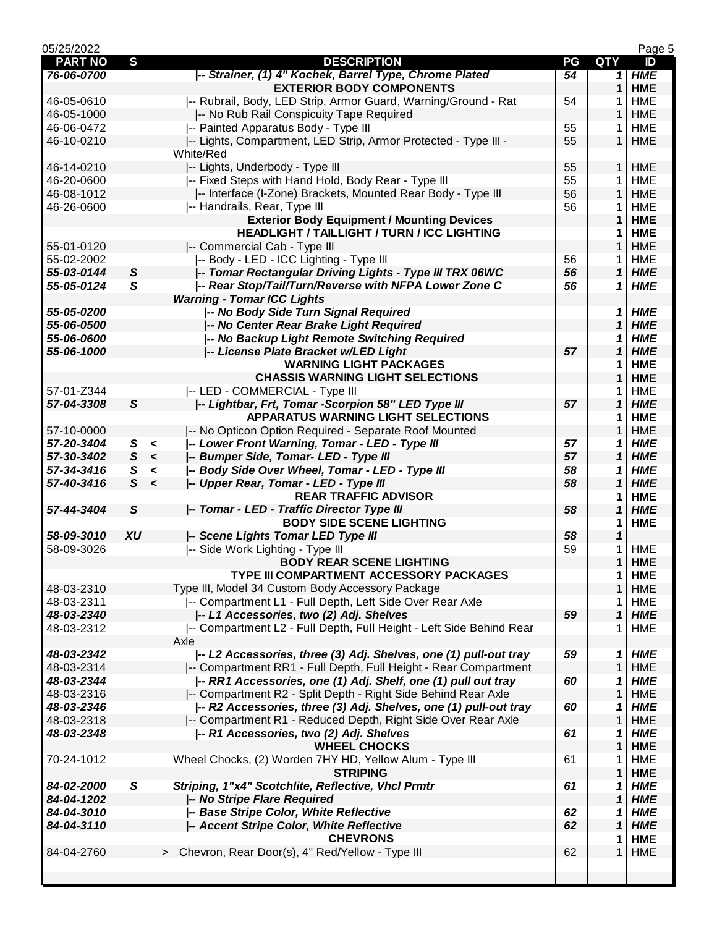| 05/25/2022     |              |         |                                                                     |    |              | Page 5     |
|----------------|--------------|---------|---------------------------------------------------------------------|----|--------------|------------|
| <b>PART NO</b> | S            |         | <b>DESCRIPTION</b>                                                  | PG | <b>QTY</b>   | ID         |
| 76-06-0700     |              |         | -- Strainer, (1) 4" Kochek, Barrel Type, Chrome Plated              | 54 | 1            | <b>HME</b> |
|                |              |         | <b>EXTERIOR BODY COMPONENTS</b>                                     |    | 1            | <b>HME</b> |
| 46-05-0610     |              |         | -- Rubrail, Body, LED Strip, Armor Guard, Warning/Ground - Rat      | 54 | 1            | <b>HME</b> |
| 46-05-1000     |              |         | -- No Rub Rail Conspicuity Tape Required                            |    | 1            | <b>HME</b> |
| 46-06-0472     |              |         | -- Painted Apparatus Body - Type III                                | 55 | 1            | <b>HME</b> |
| 46-10-0210     |              |         | -- Lights, Compartment, LED Strip, Armor Protected - Type III -     | 55 | $\mathbf{1}$ | <b>HME</b> |
|                |              |         | White/Red                                                           |    |              |            |
| 46-14-0210     |              |         | -- Lights, Underbody - Type III                                     | 55 | $\mathbf{1}$ | <b>HME</b> |
| 46-20-0600     |              |         | -- Fixed Steps with Hand Hold, Body Rear - Type III                 | 55 | 1            | <b>HME</b> |
| 46-08-1012     |              |         | -- Interface (I-Zone) Brackets, Mounted Rear Body - Type III        | 56 | $\mathbf{1}$ | <b>HME</b> |
| 46-26-0600     |              |         | -- Handrails, Rear, Type III                                        | 56 | 1            | <b>HME</b> |
|                |              |         | <b>Exterior Body Equipment / Mounting Devices</b>                   |    | 1            | <b>HME</b> |
|                |              |         | <b>HEADLIGHT / TAILLIGHT / TURN / ICC LIGHTING</b>                  |    | 1            | <b>HME</b> |
| 55-01-0120     |              |         | -- Commercial Cab - Type III                                        |    | 1            | <b>HME</b> |
| 55-02-2002     |              |         | -- Body - LED - ICC Lighting - Type III                             | 56 | 1            | <b>HME</b> |
| 55-03-0144     | $\mathsf{s}$ |         | -- Tomar Rectangular Driving Lights - Type III TRX 06WC             | 56 | $\mathbf 1$  | <b>HME</b> |
| 55-05-0124     | $\mathsf{s}$ |         | -- Rear Stop/Tail/Turn/Reverse with NFPA Lower Zone C               | 56 | 1            | <b>HME</b> |
|                |              |         | <b>Warning - Tomar ICC Lights</b>                                   |    |              |            |
|                |              |         | /-- No Body Side Turn Signal Required                               |    |              |            |
| 55-05-0200     |              |         |                                                                     |    | 1<br>1       | <b>HME</b> |
| 55-06-0500     |              |         | /-- No Center Rear Brake Light Required                             |    |              | <b>HME</b> |
| 55-06-0600     |              |         | -- No Backup Light Remote Switching Required                        |    | 1            | <b>HME</b> |
| 55-06-1000     |              |         | -- License Plate Bracket w/LED Light                                | 57 | 1            | <b>HME</b> |
|                |              |         | <b>WARNING LIGHT PACKAGES</b>                                       |    | 1            | <b>HME</b> |
|                |              |         | <b>CHASSIS WARNING LIGHT SELECTIONS</b>                             |    | 1            | <b>HME</b> |
| 57-01-Z344     |              |         | -- LED - COMMERCIAL - Type III                                      |    | 1            | <b>HME</b> |
| 57-04-3308     | $\mathsf{s}$ |         | -- Lightbar, Frt, Tomar -Scorpion 58" LED Type III                  | 57 | 1            | <b>HME</b> |
|                |              |         | <b>APPARATUS WARNING LIGHT SELECTIONS</b>                           |    | 1            | <b>HME</b> |
| 57-10-0000     |              |         | -- No Opticon Option Required - Separate Roof Mounted               |    | 1            | <b>HME</b> |
| 57-20-3404     | S            | $\prec$ | /-- Lower Front Warning, Tomar - LED - Type III                     | 57 | 1            | <b>HME</b> |
| 57-30-3402     | S            | $\prec$ | -- Bumper Side, Tomar- LED - Type III                               | 57 | 1            | <b>HME</b> |
| 57-34-3416     | S            | $\,<$   | /-- Body Side Over Wheel, Tomar - LED - Type III                    | 58 | 1            | <b>HME</b> |
| 57-40-3416     | $\mathsf{s}$ | $\prec$ | -- Upper Rear, Tomar - LED - Type III                               | 58 | 1            | <b>HME</b> |
|                |              |         | <b>REAR TRAFFIC ADVISOR</b>                                         |    | 1            | <b>HME</b> |
| 57-44-3404     | $\mathsf{s}$ |         | /-- Tomar - LED - Traffic Director Type III                         | 58 | 1            | <b>HME</b> |
|                |              |         | <b>BODY SIDE SCENE LIGHTING</b>                                     |    | 1            | <b>HME</b> |
| 58-09-3010     | XU           |         | /-- Scene Lights Tomar LED Type III                                 | 58 | 1            |            |
| 58-09-3026     |              |         | -- Side Work Lighting - Type III                                    | 59 | 1            | <b>HME</b> |
|                |              |         | <b>BODY REAR SCENE LIGHTING</b>                                     |    | $\mathbf 1$  | <b>HME</b> |
|                |              |         | TYPE III COMPARTMENT ACCESSORY PACKAGES                             |    | 1            | <b>HME</b> |
| 48-03-2310     |              |         | Type III, Model 34 Custom Body Accessory Package                    |    | $\mathbf{1}$ | <b>HME</b> |
| 48-03-2311     |              |         | -- Compartment L1 - Full Depth, Left Side Over Rear Axle            |    | 1            | <b>HME</b> |
| 48-03-2340     |              |         | -- L1 Accessories, two (2) Adj. Shelves                             | 59 | $\mathbf{1}$ | <b>HME</b> |
| 48-03-2312     |              |         | -- Compartment L2 - Full Depth, Full Height - Left Side Behind Rear |    | 1            | <b>HME</b> |
|                |              |         | Axle                                                                |    |              |            |
| 48-03-2342     |              |         | -- L2 Accessories, three (3) Adj. Shelves, one (1) pull-out tray    | 59 | 1            | <b>HME</b> |
| 48-03-2314     |              |         | -- Compartment RR1 - Full Depth, Full Height - Rear Compartment     |    | $\mathbf{1}$ | <b>HME</b> |
| 48-03-2344     |              |         | -- RR1 Accessories, one (1) Adj. Shelf, one (1) pull out tray       | 60 | 1            | <b>HME</b> |
| 48-03-2316     |              |         | -- Compartment R2 - Split Depth - Right Side Behind Rear Axle       |    | 1            | <b>HME</b> |
| 48-03-2346     |              |         | -- R2 Accessories, three (3) Adj. Shelves, one (1) pull-out tray    | 60 | 1            | <b>HME</b> |
| 48-03-2318     |              |         | -- Compartment R1 - Reduced Depth, Right Side Over Rear Axle        |    | 1            | <b>HME</b> |
| 48-03-2348     |              |         | -- R1 Accessories, two (2) Adj. Shelves                             | 61 |              | <b>HME</b> |
|                |              |         | <b>WHEEL CHOCKS</b>                                                 |    | 1<br>1       | <b>HME</b> |
|                |              |         |                                                                     |    |              |            |
| 70-24-1012     |              |         | Wheel Chocks, (2) Worden 7HY HD, Yellow Alum - Type III             | 61 | 1            | <b>HME</b> |
|                |              |         | <b>STRIPING</b>                                                     |    | 1            | <b>HME</b> |
| 84-02-2000     | S            |         | Striping, 1"x4" Scotchlite, Reflective, Vhcl Prmtr                  | 61 | 1            | <b>HME</b> |
| 84-04-1202     |              |         | /-- No Stripe Flare Required                                        |    | 1            | <b>HME</b> |
| 84-04-3010     |              |         | -- Base Stripe Color, White Reflective                              | 62 | 1            | <b>HME</b> |
| 84-04-3110     |              |         | -- Accent Stripe Color, White Reflective                            | 62 | $\mathbf{1}$ | <b>HME</b> |
|                |              |         | <b>CHEVRONS</b>                                                     |    | 1            | <b>HME</b> |
| 84-04-2760     |              |         | > Chevron, Rear Door(s), 4" Red/Yellow - Type III                   | 62 | 1            | <b>HME</b> |
|                |              |         |                                                                     |    |              |            |
|                |              |         |                                                                     |    |              |            |